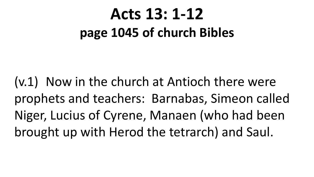### **Acts 13: 1-12 page 1045 of church Bibles**

(v.1) Now in the church at Antioch there were prophets and teachers: Barnabas, Simeon called Niger, Lucius of Cyrene, Manaen (who had been brought up with Herod the tetrarch) and Saul.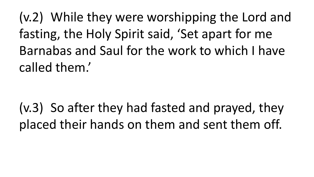(v.2) While they were worshipping the Lord and fasting, the Holy Spirit said, 'Set apart for me Barnabas and Saul for the work to which I have called them.'

(v.3) So after they had fasted and prayed, they placed their hands on them and sent them off.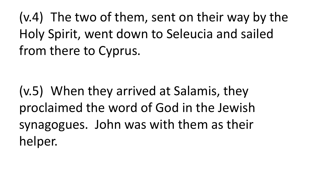(v.4) The two of them, sent on their way by the Holy Spirit, went down to Seleucia and sailed from there to Cyprus.

(v.5) When they arrived at Salamis, they proclaimed the word of God in the Jewish synagogues. John was with them as their helper.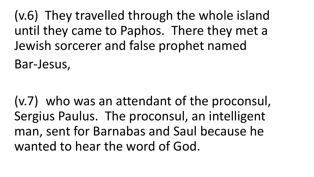(v.6) They travelled through the whole island until they came to Paphos. There they met a Jewish sorcerer and false prophet named

Bar-Jesus,

(v.7) who was an attendant of the proconsul, Sergius Paulus. The proconsul, an intelligent man, sent for Barnabas and Saul because he wanted to hear the word of God.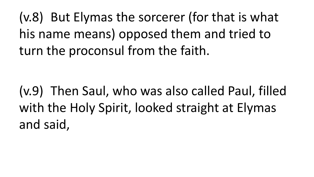(v.8) But Elymas the sorcerer (for that is what his name means) opposed them and tried to turn the proconsul from the faith.

(v.9) Then Saul, who was also called Paul, filled with the Holy Spirit, looked straight at Elymas and said,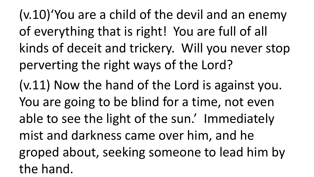(v.10)'You are a child of the devil and an enemy of everything that is right! You are full of all kinds of deceit and trickery. Will you never stop perverting the right ways of the Lord? (v.11) Now the hand of the Lord is against you. You are going to be blind for a time, not even able to see the light of the sun.' Immediately mist and darkness came over him, and he groped about, seeking someone to lead him by the hand.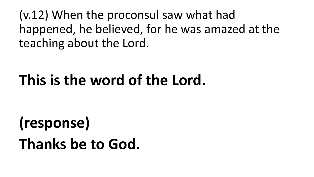(v.12) When the proconsul saw what had happened, he believed, for he was amazed at the teaching about the Lord.

### **This is the word of the Lord.**

### **(response) Thanks be to God.**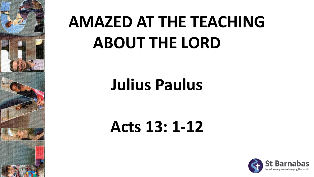

# **AMAZED AT THE TEACHING ABOUT THE LORD**

### **Julius Paulus**

### **Acts 13: 1-12**

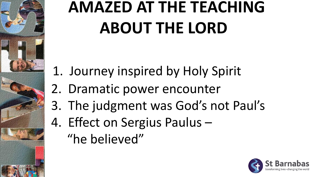## **AMAZED AT THE TEACHING ABOUT THE LORD**

- 1. Journey inspired by Holy Spirit
- 2. Dramatic power encounter
- 3. The judgment was God's not Paul's
- 4. Effect on Sergius Paulus –

"he believed"

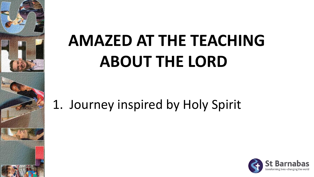## **AMAZED AT THE TEACHING ABOUT THE LORD**

1. Journey inspired by Holy Spirit

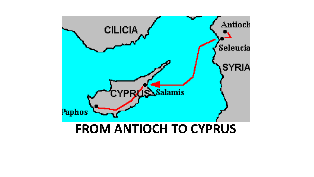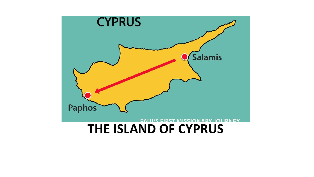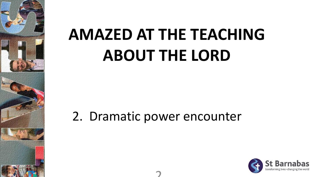

## **AMAZED AT THE TEACHING ABOUT THE LORD**

#### 2. Dramatic power encounter

 $\overline{2}$ 

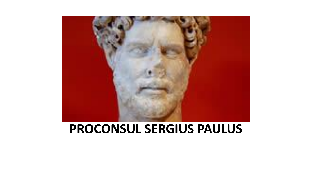

#### **PROCONSUL SERGIUS PAULUS**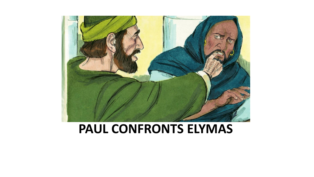

#### **PAUL CONFRONTS ELYMAS**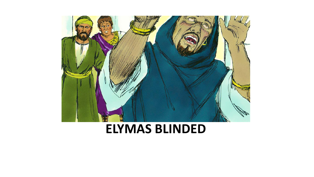

#### **ELYMAS BLINDED**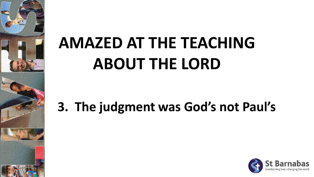# **AMAZED AT THE TEACHING ABOUT THE LORD**

### **3. The judgment was God's not Paul's**